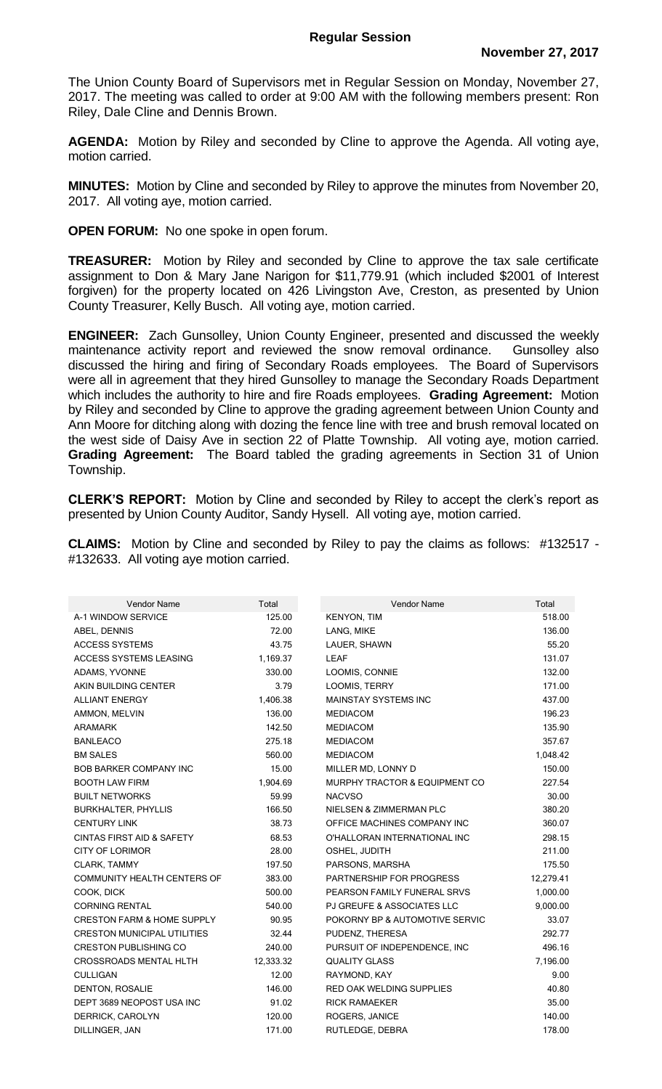The Union County Board of Supervisors met in Regular Session on Monday, November 27, 2017. The meeting was called to order at 9:00 AM with the following members present: Ron Riley, Dale Cline and Dennis Brown.

**AGENDA:** Motion by Riley and seconded by Cline to approve the Agenda. All voting aye, motion carried.

**MINUTES:** Motion by Cline and seconded by Riley to approve the minutes from November 20, 2017. All voting aye, motion carried.

**OPEN FORUM:** No one spoke in open forum.

**TREASURER:** Motion by Riley and seconded by Cline to approve the tax sale certificate assignment to Don & Mary Jane Narigon for \$11,779.91 (which included \$2001 of Interest forgiven) for the property located on 426 Livingston Ave, Creston, as presented by Union County Treasurer, Kelly Busch. All voting aye, motion carried.

**ENGINEER:** Zach Gunsolley, Union County Engineer, presented and discussed the weekly maintenance activity report and reviewed the snow removal ordinance. Gunsolley also discussed the hiring and firing of Secondary Roads employees. The Board of Supervisors were all in agreement that they hired Gunsolley to manage the Secondary Roads Department which includes the authority to hire and fire Roads employees. **Grading Agreement:** Motion by Riley and seconded by Cline to approve the grading agreement between Union County and Ann Moore for ditching along with dozing the fence line with tree and brush removal located on the west side of Daisy Ave in section 22 of Platte Township. All voting aye, motion carried. **Grading Agreement:** The Board tabled the grading agreements in Section 31 of Union Township.

**CLERK'S REPORT:** Motion by Cline and seconded by Riley to accept the clerk's report as presented by Union County Auditor, Sandy Hysell. All voting aye, motion carried.

**CLAIMS:** Motion by Cline and seconded by Riley to pay the claims as follows: #132517 - #132633. All voting aye motion carried.

| <b>Vendor Name</b>                    | Total     | <b>Vendor Name</b>                       | Total     |
|---------------------------------------|-----------|------------------------------------------|-----------|
| A-1 WINDOW SERVICE                    | 125.00    | <b>KENYON, TIM</b>                       | 518.00    |
| ABEL, DENNIS                          | 72.00     | LANG, MIKE                               | 136.00    |
| <b>ACCESS SYSTEMS</b>                 | 43.75     | LAUER, SHAWN                             | 55.20     |
| <b>ACCESS SYSTEMS LEASING</b>         | 1,169.37  | <b>LEAF</b>                              | 131.07    |
| ADAMS, YVONNE                         | 330.00    | LOOMIS, CONNIE                           | 132.00    |
| AKIN BUILDING CENTER                  | 3.79      | <b>LOOMIS, TERRY</b>                     | 171.00    |
| <b>ALLIANT ENERGY</b>                 | 1,406.38  | <b>MAINSTAY SYSTEMS INC</b>              | 437.00    |
| AMMON, MELVIN                         | 136.00    | <b>MEDIACOM</b>                          | 196.23    |
| <b>ARAMARK</b>                        | 142.50    | <b>MEDIACOM</b>                          | 135.90    |
| <b>BANLEACO</b>                       | 275.18    | <b>MEDIACOM</b>                          | 357.67    |
| <b>BM SALES</b>                       | 560.00    | <b>MEDIACOM</b>                          | 1,048.42  |
| <b>BOB BARKER COMPANY INC</b>         | 15.00     | MILLER MD, LONNY D                       | 150.00    |
| <b>BOOTH LAW FIRM</b>                 | 1,904.69  | <b>MURPHY TRACTOR &amp; EQUIPMENT CO</b> | 227.54    |
| <b>BUILT NETWORKS</b>                 | 59.99     | <b>NACVSO</b>                            | 30.00     |
| <b>BURKHALTER, PHYLLIS</b>            | 166.50    | NIELSEN & ZIMMERMAN PLC                  | 380.20    |
| <b>CENTURY LINK</b>                   | 38.73     | OFFICE MACHINES COMPANY INC              | 360.07    |
| <b>CINTAS FIRST AID &amp; SAFETY</b>  | 68.53     | O'HALLORAN INTERNATIONAL INC             | 298.15    |
| <b>CITY OF LORIMOR</b>                | 28.00     | OSHEL, JUDITH                            | 211.00    |
| CLARK, TAMMY                          | 197.50    | PARSONS, MARSHA                          | 175.50    |
| <b>COMMUNITY HEALTH CENTERS OF</b>    | 383.00    | PARTNERSHIP FOR PROGRESS                 | 12,279.41 |
| COOK, DICK                            | 500.00    | PEARSON FAMILY FUNERAL SRVS              | 1,000.00  |
| <b>CORNING RENTAL</b>                 | 540.00    | <b>PJ GREUFE &amp; ASSOCIATES LLC</b>    | 9,000.00  |
| <b>CRESTON FARM &amp; HOME SUPPLY</b> | 90.95     | POKORNY BP & AUTOMOTIVE SERVIC           | 33.07     |
| <b>CRESTON MUNICIPAL UTILITIES</b>    | 32.44     | PUDENZ, THERESA                          | 292.77    |
| <b>CRESTON PUBLISHING CO</b>          | 240.00    | PURSUIT OF INDEPENDENCE, INC             | 496.16    |
| <b>CROSSROADS MENTAL HLTH</b>         | 12,333.32 | <b>QUALITY GLASS</b>                     | 7,196.00  |
| <b>CULLIGAN</b>                       | 12.00     | RAYMOND, KAY                             | 9.00      |
| DENTON, ROSALIE                       | 146.00    | <b>RED OAK WELDING SUPPLIES</b>          | 40.80     |
| DEPT 3689 NEOPOST USA INC             | 91.02     | <b>RICK RAMAEKER</b>                     | 35.00     |
| DERRICK, CAROLYN                      | 120.00    | ROGERS, JANICE                           | 140.00    |
| DILLINGER, JAN                        | 171.00    | RUTLEDGE, DEBRA                          | 178.00    |